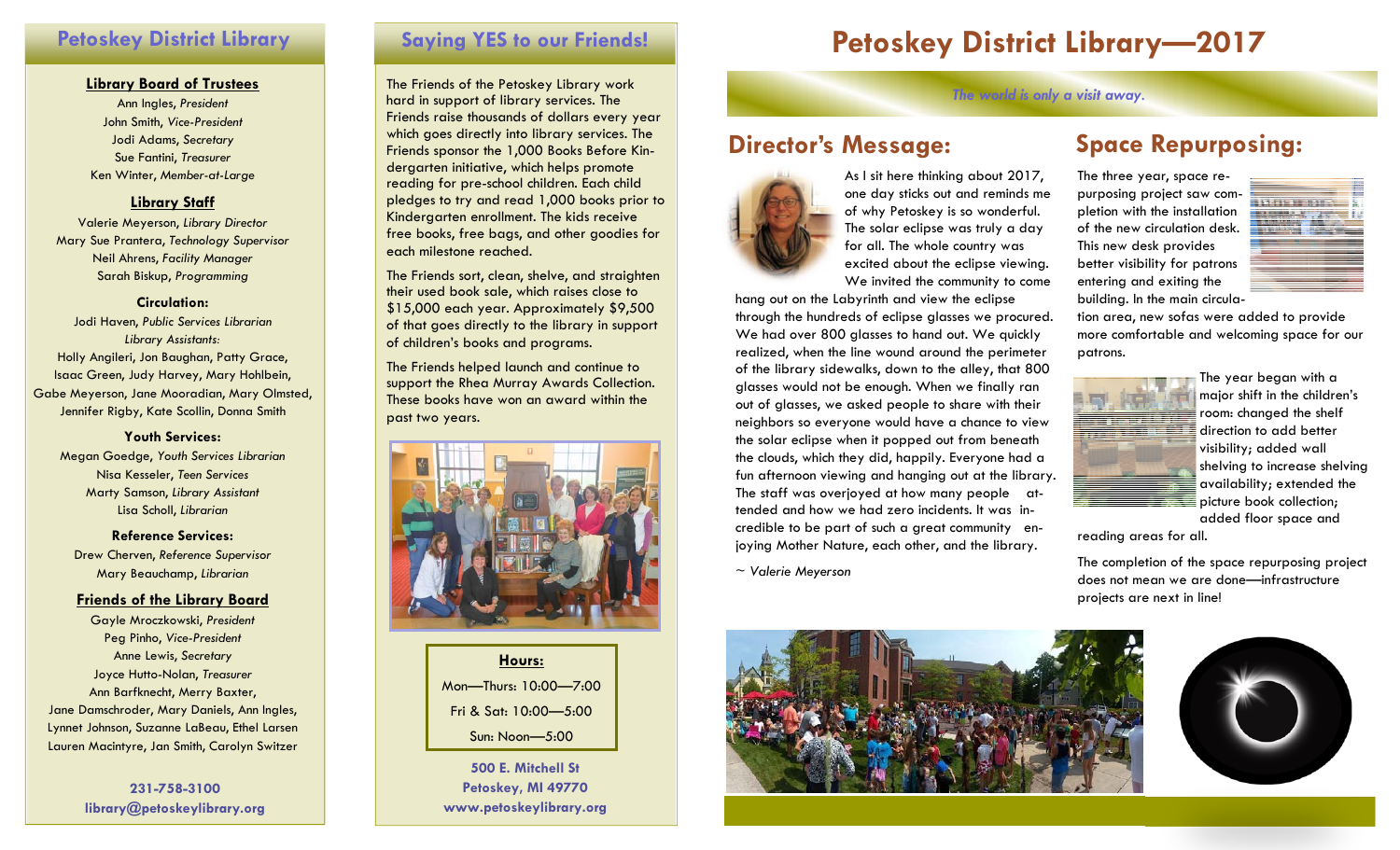## **Petoskey District Library**

### **Library Board of Trustees**

Ann Ingles, *President*  John Smith, *Vice-President*  Jodi Adams, *Secretary*  Sue Fantini, *Treasurer* Ken Winter, *Member-at-Large*

## **Library Staff**

Valerie Meyerson, *Library Director* Mary Sue Prantera, *Technology Supervisor*  Neil Ahrens, *Facility Manager* Sarah Biskup, *Programming*

### **Circulation:**

Jodi Haven, *Public Services Librarian Library Assistants:*  Holly Angileri, Jon Baughan, Patty Grace, Isaac Green, Judy Harvey, Mary Hohlbein, Gabe Meyerson, Jane Mooradian, Mary Olmsted, Jennifer Rigby, Kate Scollin, Donna Smith

### **Youth Services:**

Megan Goedge, *Youth Services Librarian* Nisa Kesseler, *Teen Services* Marty Samson, *Library Assistant* Lisa Scholl, *Librarian* 

**Reference Services:** Drew Cherven, *Reference Supervisor*  Mary Beauchamp, *Librarian* 

## **Friends of the Library Board**

Gayle Mroczkowski, *President* Peg Pinho, *Vice-President* Anne Lewis, *Secretary* Joyce Hutto-Nolan, *Treasurer* Ann Barfknecht, Merry Baxter, Jane Damschroder, Mary Daniels, Ann Ingles, Lynnet Johnson, Suzanne LaBeau, Ethel Larsen Lauren Macintyre, Jan Smith, Carolyn Switzer

> **231-758-3100 library@petoskeylibrary.org**

The Friends of the Petoskey Library work hard in support of library services. The Friends raise thousands of dollars every year which goes directly into library services. The Friends sponsor the 1,000 Books Before Kindergarten initiative, which helps promote reading for pre-school children. Each child pledges to try and read 1,000 books prior to Kindergarten enrollment. The kids receive free books, free bags, and other goodies for each milestone reached.

The Friends sort, clean, shelve, and straighten their used book sale, which raises close to \$15,000 each year. Approximately \$9,500 of that goes directly to the library in support of children's books and programs.

The Friends helped launch and continue to support the Rhea Murray Awards Collection. These books have won an award within the past two years.



**Hours:** Mon—Thurs: 10:00—7:00 Fri & Sat: 10:00—5:00 Sun: Noon—5:00

**500 E. Mitchell St Petoskey, MI 49770 www.petoskeylibrary.org** 

# Saying YES to our Friends! **Petoskey District Library-2017**

*The world is only a visit away.* 

# **Director's Message:**



As I sit here thinking about 2017, one day sticks out and reminds me of why Petoskey is so wonderful. The solar eclipse was truly a day for all. The whole country was excited about the eclipse viewing. We invited the community to come

hang out on the Labyrinth and view the eclipse through the hundreds of eclipse glasses we procured. We had over 800 glasses to hand out. We quickly realized, when the line wound around the perimeter of the library sidewalks, down to the alley, that 800 glasses would not be enough. When we finally ran out of glasses, we asked people to share with their neighbors so everyone would have a chance to view the solar eclipse when it popped out from beneath the clouds, which they did, happily. Everyone had a fun afternoon viewing and hanging out at the library. The staff was overjoyed at how many people attended and how we had zero incidents. It was incredible to be part of such a great community enjoying Mother Nature, each other, and the library.

<sup>~</sup>*Valerie Meyerson*



# **Space Repurposing:**

The three year, space repurposing project saw completion with the installation of the new circulation desk. This new desk provides better visibility for patrons entering and exiting the building. In the main circula-



tion area, new sofas were added to provide more comfortable and welcoming space for our patrons.



The year began with a major shift in the children's room: changed the shelf direction to add better visibility; added wall shelving to increase shelving availability; extended the picture book collection; added floor space and

reading areas for all.

The completion of the space repurposing project does not mean we are done—infrastructure projects are next in line!